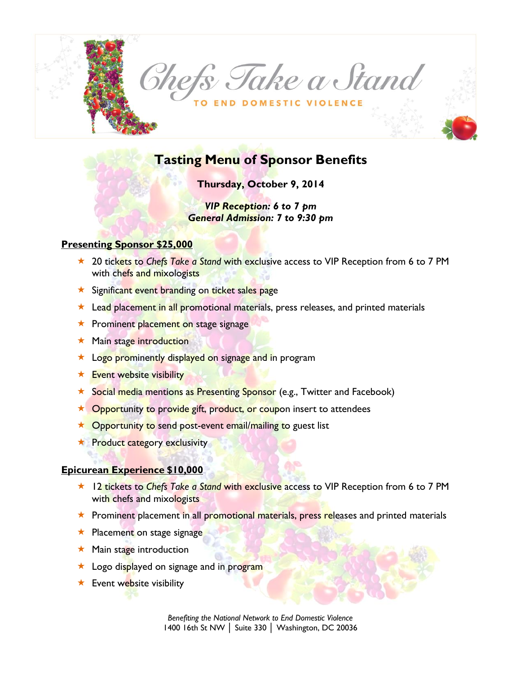

# **Tasting Menu of Sponsor Benefits**

**Thursday, October 9, 2014**

*VIP Reception: 6 to 7 pm General Admission: 7 to 9:30 pm*

#### **Presenting Sponsor \$25,000**

- **★ 20 tickets to Chefs Take a Stand with exclusive access to VIP Reception from 6 to 7 PM** with chefs and mixologists
- **\*** Significant event branding on ticket sales page
- $\star$  Lead placement in all promotional materials, press releases, and printed materials
- **Reference 1** Prominent placement on stage signage
- **Main stage introduction**
- **\*** Logo prominently displayed on signage and in program
- $\star$  Event website visibility
- **\*** Social media mentions as Presenting Sponsor (e.g., Twitter and Facebook)
- ★ Opportunity to provide gift, product, or coupon insert to attendees
- $\star$  Opportunity to send post-event email/mailing to guest list
- **The Product category exclusivity**

#### **Epicurean Experience \$10,000**

- **★ 12 tickets to Chefs Take a Stand with exclusive access to VIP Reception from 6 to 7 PM** with chefs and mixologists
- **EX** Prominent placement in all promotional materials, press releases and printed materials
- **Referent on stage signage**
- $\star$  Main stage introduction
- **Logo displayed on signage and in program**
- $\star$  Event website visibility

*Benefiting the National Network to End Domestic Violence* 1400 16th St NW │ Suite 330 │ Washington, DC 20036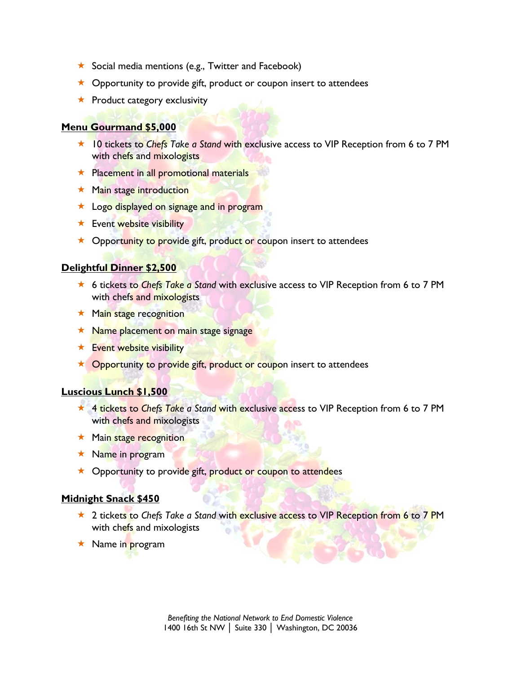- $\star$  Social media mentions (e.g., Twitter and Facebook)
- $\star$  Opportunity to provide gift, product or coupon insert to attendees
- $\star$  Product category exclusivity

#### **Menu Gourmand \$5,000**

- **★ 10 tickets to Chefs Take a Stand with exclusive access to VIP Reception from 6 to 7 PM** with chefs and mixologists
- **Referent in all promotional materials**
- $\star$  Main stage introduction
- **Logo displayed on signage and in program**
- **\*** Event website visibility
- ★ Opportunity to provide gift, product or coupon insert to attendees

#### **Delightful Dinner \$2,500**

- **★ 6 tickets to Chefs Take a Stand with exclusive access to VIP Reception from 6 to 7 PM** with chefs and mixologists
- $\star$  Main stage recognition
- $\star$  Name placement on main stage signage
- $\star$  Event website visibility
- $\star$  Opportunity to provide gift, product or coupon insert to attendees

#### **Luscious Lunch \$1,500**

- **★ 4 tickets to Chefs Take a Stand with exclusive access to VIP Reception from 6 to 7 PM** with chefs and mixologists
- **\*** Main stage recognition
- $\star$  Name in program
- $\star$  Opportunity to provide gift, product or coupon to attendees

#### **Midnight Snack \$450**

- **★ 2 tickets to Chefs Take a Stand with exclusive access to VIP Reception from 6 to 7 PM** with chefs and mixologists
- $\star$  Name in program